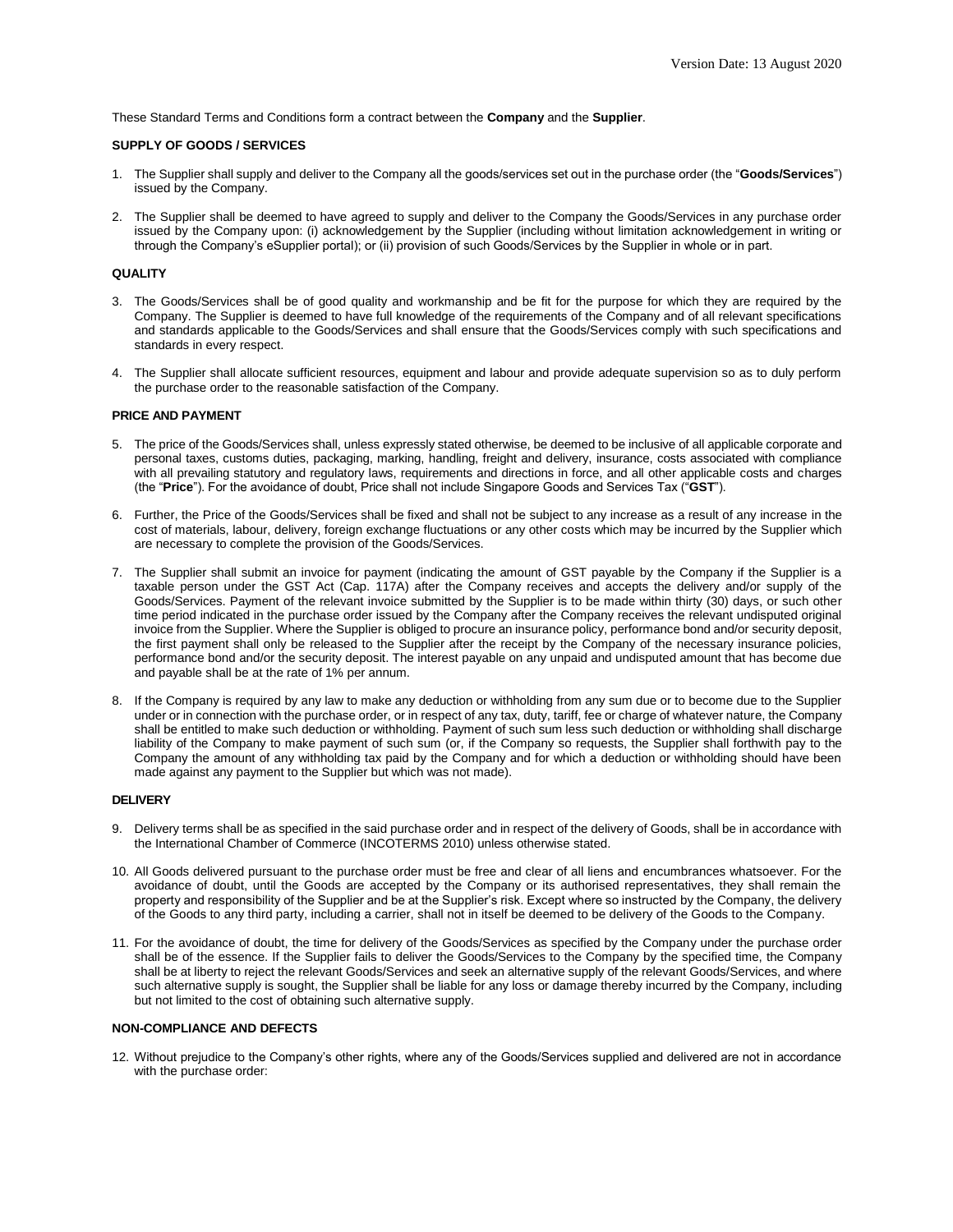These Standard Terms and Conditions form a contract between the **Company** and the **Supplier**.

## **SUPPLY OF GOODS / SERVICES**

- 1. The Supplier shall supply and deliver to the Company all the goods/services set out in the purchase order (the "**Goods/Services**") issued by the Company.
- 2. The Supplier shall be deemed to have agreed to supply and deliver to the Company the Goods/Services in any purchase order issued by the Company upon: (i) acknowledgement by the Supplier (including without limitation acknowledgement in writing or through the Company's eSupplier portal); or (ii) provision of such Goods/Services by the Supplier in whole or in part.

### **QUALITY**

- 3. The Goods/Services shall be of good quality and workmanship and be fit for the purpose for which they are required by the Company. The Supplier is deemed to have full knowledge of the requirements of the Company and of all relevant specifications and standards applicable to the Goods/Services and shall ensure that the Goods/Services comply with such specifications and standards in every respect.
- 4. The Supplier shall allocate sufficient resources, equipment and labour and provide adequate supervision so as to duly perform the purchase order to the reasonable satisfaction of the Company.

#### **PRICE AND PAYMENT**

- 5. The price of the Goods/Services shall, unless expressly stated otherwise, be deemed to be inclusive of all applicable corporate and personal taxes, customs duties, packaging, marking, handling, freight and delivery, insurance, costs associated with compliance with all prevailing statutory and regulatory laws, requirements and directions in force, and all other applicable costs and charges (the "**Price**"). For the avoidance of doubt, Price shall not include Singapore Goods and Services Tax ("**GST**").
- 6. Further, the Price of the Goods/Services shall be fixed and shall not be subject to any increase as a result of any increase in the cost of materials, labour, delivery, foreign exchange fluctuations or any other costs which may be incurred by the Supplier which are necessary to complete the provision of the Goods/Services.
- 7. The Supplier shall submit an invoice for payment (indicating the amount of GST payable by the Company if the Supplier is a taxable person under the GST Act (Cap. 117A) after the Company receives and accepts the delivery and/or supply of the Goods/Services. Payment of the relevant invoice submitted by the Supplier is to be made within thirty (30) days, or such other time period indicated in the purchase order issued by the Company after the Company receives the relevant undisputed original invoice from the Supplier. Where the Supplier is obliged to procure an insurance policy, performance bond and/or security deposit, the first payment shall only be released to the Supplier after the receipt by the Company of the necessary insurance policies, performance bond and/or the security deposit. The interest payable on any unpaid and undisputed amount that has become due and payable shall be at the rate of 1% per annum.
- 8. If the Company is required by any law to make any deduction or withholding from any sum due or to become due to the Supplier under or in connection with the purchase order, or in respect of any tax, duty, tariff, fee or charge of whatever nature, the Company shall be entitled to make such deduction or withholding. Payment of such sum less such deduction or withholding shall discharge liability of the Company to make payment of such sum (or, if the Company so requests, the Supplier shall forthwith pay to the Company the amount of any withholding tax paid by the Company and for which a deduction or withholding should have been made against any payment to the Supplier but which was not made).

#### **DELIVERY**

- 9. Delivery terms shall be as specified in the said purchase order and in respect of the delivery of Goods, shall be in accordance with the International Chamber of Commerce (INCOTERMS 2010) unless otherwise stated.
- 10. All Goods delivered pursuant to the purchase order must be free and clear of all liens and encumbrances whatsoever. For the avoidance of doubt, until the Goods are accepted by the Company or its authorised representatives, they shall remain the property and responsibility of the Supplier and be at the Supplier's risk. Except where so instructed by the Company, the delivery of the Goods to any third party, including a carrier, shall not in itself be deemed to be delivery of the Goods to the Company.
- 11. For the avoidance of doubt, the time for delivery of the Goods/Services as specified by the Company under the purchase order shall be of the essence. If the Supplier fails to deliver the Goods/Services to the Company by the specified time, the Company shall be at liberty to reject the relevant Goods/Services and seek an alternative supply of the relevant Goods/Services, and where such alternative supply is sought, the Supplier shall be liable for any loss or damage thereby incurred by the Company, including but not limited to the cost of obtaining such alternative supply.

# **NON-COMPLIANCE AND DEFECTS**

12. Without prejudice to the Company's other rights, where any of the Goods/Services supplied and delivered are not in accordance with the purchase order: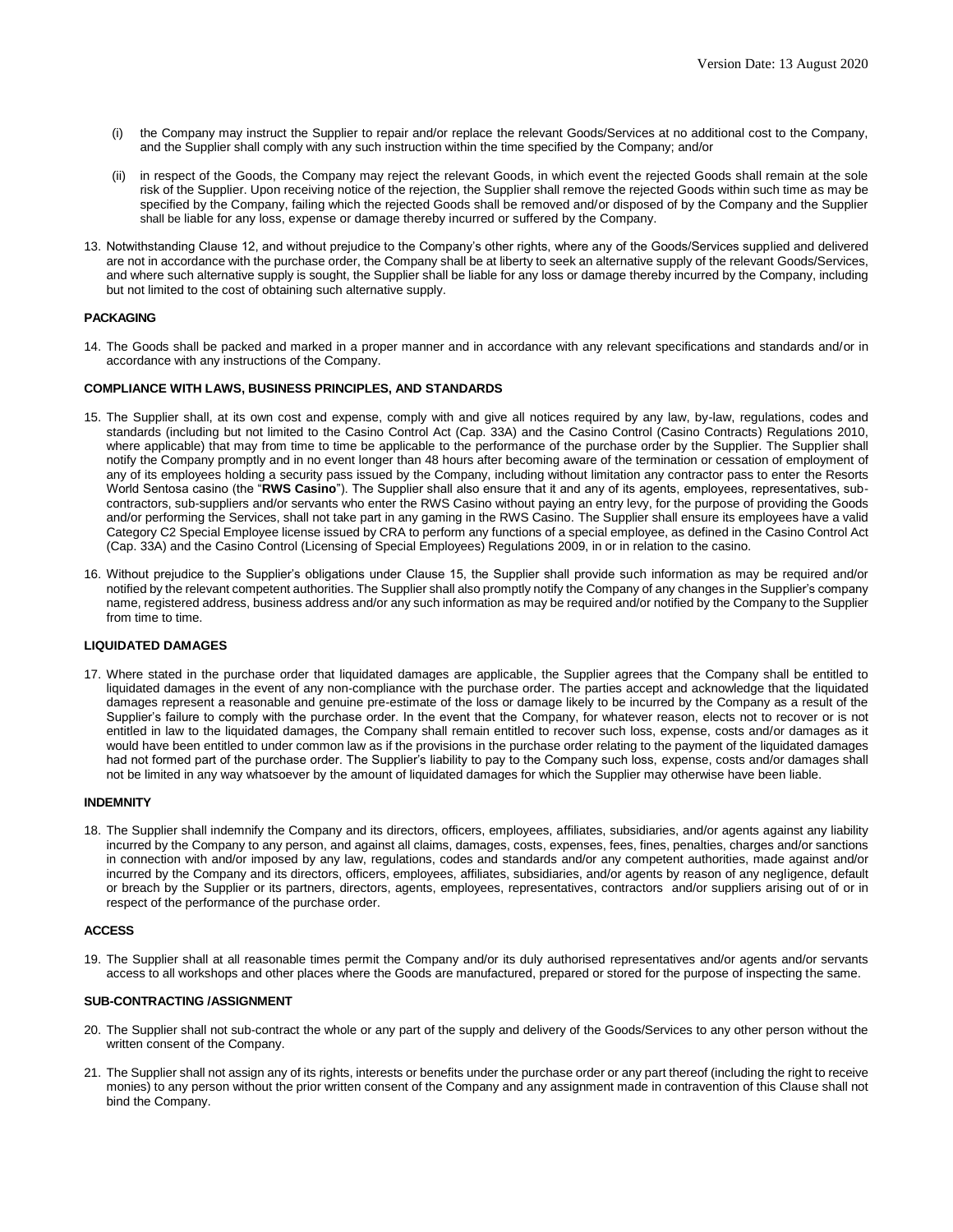- (i) the Company may instruct the Supplier to repair and/or replace the relevant Goods/Services at no additional cost to the Company, and the Supplier shall comply with any such instruction within the time specified by the Company; and/or
- (ii) in respect of the Goods, the Company may reject the relevant Goods, in which event the rejected Goods shall remain at the sole risk of the Supplier. Upon receiving notice of the rejection, the Supplier shall remove the rejected Goods within such time as may be specified by the Company, failing which the rejected Goods shall be removed and/or disposed of by the Company and the Supplier shall be liable for any loss, expense or damage thereby incurred or suffered by the Company.
- 13. Notwithstanding Clause 12, and without prejudice to the Company's other rights, where any of the Goods/Services supplied and delivered are not in accordance with the purchase order, the Company shall be at liberty to seek an alternative supply of the relevant Goods/Services, and where such alternative supply is sought, the Supplier shall be liable for any loss or damage thereby incurred by the Company, including but not limited to the cost of obtaining such alternative supply.

# **PACKAGING**

14. The Goods shall be packed and marked in a proper manner and in accordance with any relevant specifications and standards and/or in accordance with any instructions of the Company.

### **COMPLIANCE WITH LAWS, BUSINESS PRINCIPLES, AND STANDARDS**

- 15. The Supplier shall, at its own cost and expense, comply with and give all notices required by any law, by-law, regulations, codes and standards (including but not limited to the Casino Control Act (Cap. 33A) and the Casino Control (Casino Contracts) Regulations 2010, where applicable) that may from time to time be applicable to the performance of the purchase order by the Supplier. The Supplier shall notify the Company promptly and in no event longer than 48 hours after becoming aware of the termination or cessation of employment of any of its employees holding a security pass issued by the Company, including without limitation any contractor pass to enter the Resorts World Sentosa casino (the "**RWS Casino**"). The Supplier shall also ensure that it and any of its agents, employees, representatives, subcontractors, sub-suppliers and/or servants who enter the RWS Casino without paying an entry levy, for the purpose of providing the Goods and/or performing the Services, shall not take part in any gaming in the RWS Casino. The Supplier shall ensure its employees have a valid Category C2 Special Employee license issued by CRA to perform any functions of a special employee, as defined in the Casino Control Act (Cap. 33A) and the Casino Control (Licensing of Special Employees) Regulations 2009, in or in relation to the casino.
- 16. Without prejudice to the Supplier's obligations under Clause 15, the Supplier shall provide such information as may be required and/or notified by the relevant competent authorities. The Supplier shall also promptly notify the Company of any changes in the Supplier's company name, registered address, business address and/or any such information as may be required and/or notified by the Company to the Supplier from time to time.

## **LIQUIDATED DAMAGES**

17. Where stated in the purchase order that liquidated damages are applicable, the Supplier agrees that the Company shall be entitled to liquidated damages in the event of any non-compliance with the purchase order. The parties accept and acknowledge that the liquidated damages represent a reasonable and genuine pre-estimate of the loss or damage likely to be incurred by the Company as a result of the Supplier's failure to comply with the purchase order. In the event that the Company, for whatever reason, elects not to recover or is not entitled in law to the liquidated damages, the Company shall remain entitled to recover such loss, expense, costs and/or damages as it would have been entitled to under common law as if the provisions in the purchase order relating to the payment of the liquidated damages had not formed part of the purchase order. The Supplier's liability to pay to the Company such loss, expense, costs and/or damages shall not be limited in any way whatsoever by the amount of liquidated damages for which the Supplier may otherwise have been liable.

#### **INDEMNITY**

18. The Supplier shall indemnify the Company and its directors, officers, employees, affiliates, subsidiaries, and/or agents against any liability incurred by the Company to any person, and against all claims, damages, costs, expenses, fees, fines, penalties, charges and/or sanctions in connection with and/or imposed by any law, regulations, codes and standards and/or any competent authorities, made against and/or incurred by the Company and its directors, officers, employees, affiliates, subsidiaries, and/or agents by reason of any negligence, default or breach by the Supplier or its partners, directors, agents, employees, representatives, contractors and/or suppliers arising out of or in respect of the performance of the purchase order.

#### **ACCESS**

19. The Supplier shall at all reasonable times permit the Company and/or its duly authorised representatives and/or agents and/or servants access to all workshops and other places where the Goods are manufactured, prepared or stored for the purpose of inspecting the same.

#### **SUB-CONTRACTING /ASSIGNMENT**

- 20. The Supplier shall not sub-contract the whole or any part of the supply and delivery of the Goods/Services to any other person without the written consent of the Company.
- 21. The Supplier shall not assign any of its rights, interests or benefits under the purchase order or any part thereof (including the right to receive monies) to any person without the prior written consent of the Company and any assignment made in contravention of this Clause shall not bind the Company.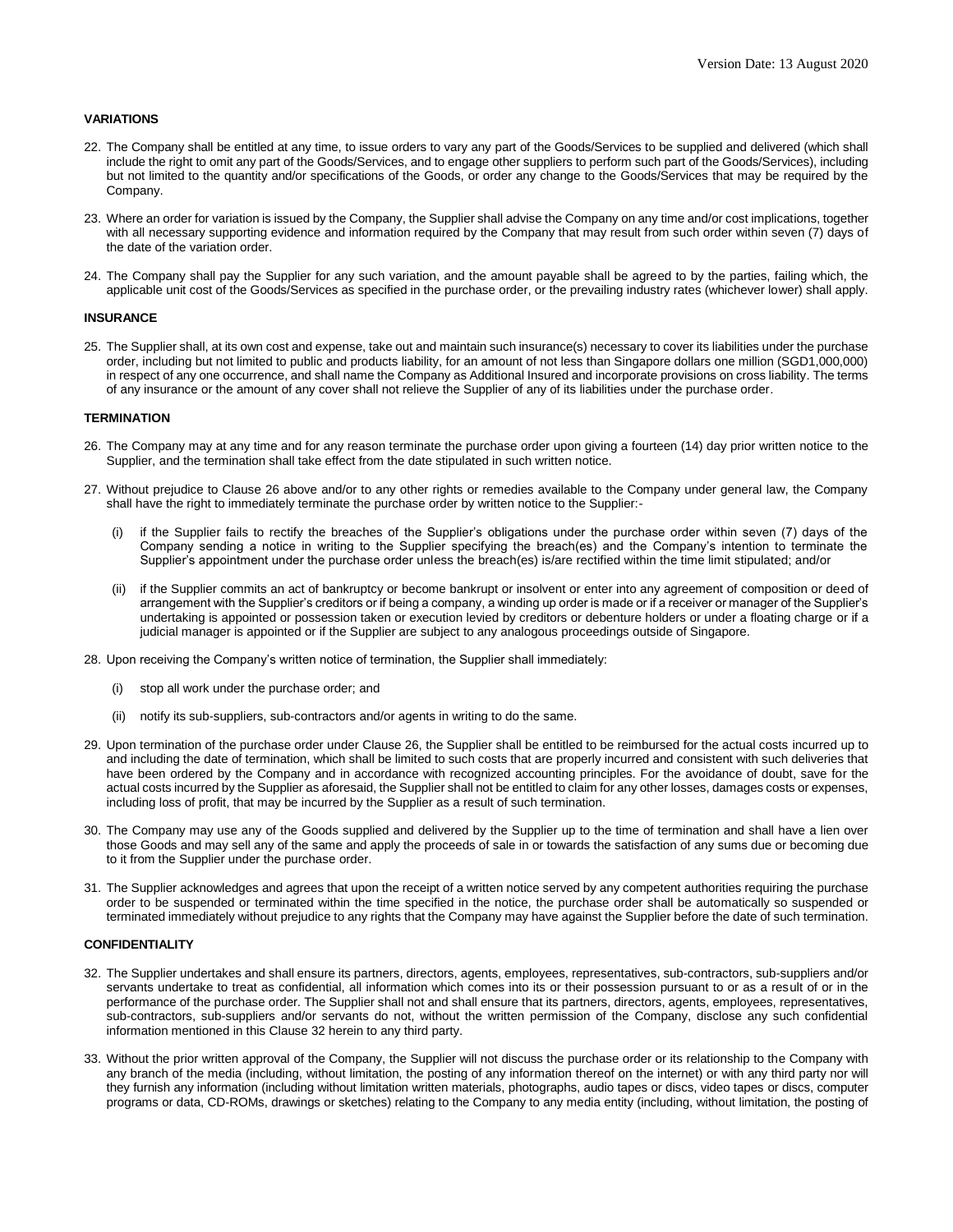## **VARIATIONS**

- 22. The Company shall be entitled at any time, to issue orders to vary any part of the Goods/Services to be supplied and delivered (which shall include the right to omit any part of the Goods/Services, and to engage other suppliers to perform such part of the Goods/Services), including but not limited to the quantity and/or specifications of the Goods, or order any change to the Goods/Services that may be required by the Company.
- 23. Where an order for variation is issued by the Company, the Supplier shall advise the Company on any time and/or cost implications, together with all necessary supporting evidence and information required by the Company that may result from such order within seven (7) days of the date of the variation order.
- 24. The Company shall pay the Supplier for any such variation, and the amount payable shall be agreed to by the parties, failing which, the applicable unit cost of the Goods/Services as specified in the purchase order, or the prevailing industry rates (whichever lower) shall apply.

## **INSURANCE**

25. The Supplier shall, at its own cost and expense, take out and maintain such insurance(s) necessary to cover its liabilities under the purchase order, including but not limited to public and products liability, for an amount of not less than Singapore dollars one million (SGD1,000,000) in respect of any one occurrence, and shall name the Company as Additional Insured and incorporate provisions on cross liability. The terms of any insurance or the amount of any cover shall not relieve the Supplier of any of its liabilities under the purchase order.

#### **TERMINATION**

- 26. The Company may at any time and for any reason terminate the purchase order upon giving a fourteen (14) day prior written notice to the Supplier, and the termination shall take effect from the date stipulated in such written notice.
- 27. Without prejudice to Clause 26 above and/or to any other rights or remedies available to the Company under general law, the Company shall have the right to immediately terminate the purchase order by written notice to the Supplier:
	- if the Supplier fails to rectify the breaches of the Supplier's obligations under the purchase order within seven (7) days of the Company sending a notice in writing to the Supplier specifying the breach(es) and the Company's intention to terminate the Supplier's appointment under the purchase order unless the breach(es) is/are rectified within the time limit stipulated; and/or
	- (ii) if the Supplier commits an act of bankruptcy or become bankrupt or insolvent or enter into any agreement of composition or deed of arrangement with the Supplier's creditors or if being a company, a winding up order is made or if a receiver or manager of the Supplier's undertaking is appointed or possession taken or execution levied by creditors or debenture holders or under a floating charge or if a judicial manager is appointed or if the Supplier are subject to any analogous proceedings outside of Singapore.
- 28. Upon receiving the Company's written notice of termination, the Supplier shall immediately:
	- stop all work under the purchase order; and
	- (ii) notify its sub-suppliers, sub-contractors and/or agents in writing to do the same.
- 29. Upon termination of the purchase order under Clause 26, the Supplier shall be entitled to be reimbursed for the actual costs incurred up to and including the date of termination, which shall be limited to such costs that are properly incurred and consistent with such deliveries that have been ordered by the Company and in accordance with recognized accounting principles. For the avoidance of doubt, save for the actual costs incurred by the Supplier as aforesaid, the Supplier shall not be entitled to claim for any other losses, damages costs or expenses, including loss of profit, that may be incurred by the Supplier as a result of such termination.
- 30. The Company may use any of the Goods supplied and delivered by the Supplier up to the time of termination and shall have a lien over those Goods and may sell any of the same and apply the proceeds of sale in or towards the satisfaction of any sums due or becoming due to it from the Supplier under the purchase order.
- 31. The Supplier acknowledges and agrees that upon the receipt of a written notice served by any competent authorities requiring the purchase order to be suspended or terminated within the time specified in the notice, the purchase order shall be automatically so suspended or terminated immediately without prejudice to any rights that the Company may have against the Supplier before the date of such termination.

#### **CONFIDENTIALITY**

- 32. The Supplier undertakes and shall ensure its partners, directors, agents, employees, representatives, sub-contractors, sub-suppliers and/or servants undertake to treat as confidential, all information which comes into its or their possession pursuant to or as a result of or in the performance of the purchase order. The Supplier shall not and shall ensure that its partners, directors, agents, employees, representatives, sub-contractors, sub-suppliers and/or servants do not, without the written permission of the Company, disclose any such confidential information mentioned in this Clause 32 herein to any third party.
- 33. Without the prior written approval of the Company, the Supplier will not discuss the purchase order or its relationship to the Company with any branch of the media (including, without limitation, the posting of any information thereof on the internet) or with any third party nor will they furnish any information (including without limitation written materials, photographs, audio tapes or discs, video tapes or discs, computer programs or data, CD-ROMs, drawings or sketches) relating to the Company to any media entity (including, without limitation, the posting of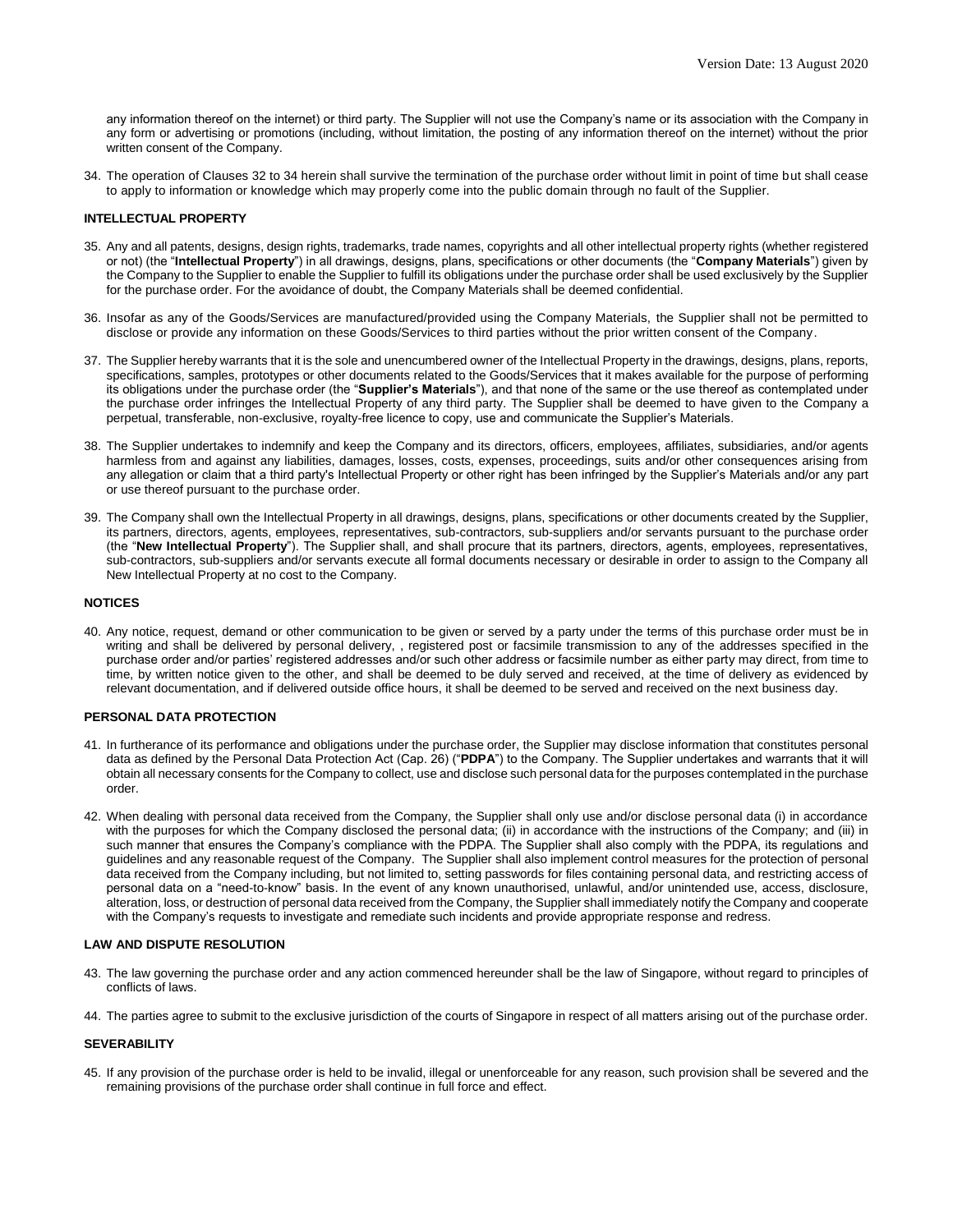any information thereof on the internet) or third party. The Supplier will not use the Company's name or its association with the Company in any form or advertising or promotions (including, without limitation, the posting of any information thereof on the internet) without the prior written consent of the Company.

34. The operation of Clauses 32 to 34 herein shall survive the termination of the purchase order without limit in point of time but shall cease to apply to information or knowledge which may properly come into the public domain through no fault of the Supplier.

#### **INTELLECTUAL PROPERTY**

- 35. Any and all patents, designs, design rights, trademarks, trade names, copyrights and all other intellectual property rights (whether registered or not) (the "**Intellectual Property**") in all drawings, designs, plans, specifications or other documents (the "**Company Materials**") given by the Company to the Supplier to enable the Supplier to fulfill its obligations under the purchase order shall be used exclusively by the Supplier for the purchase order. For the avoidance of doubt, the Company Materials shall be deemed confidential.
- 36. Insofar as any of the Goods/Services are manufactured/provided using the Company Materials, the Supplier shall not be permitted to disclose or provide any information on these Goods/Services to third parties without the prior written consent of the Company.
- 37. The Supplier hereby warrants that it is the sole and unencumbered owner of the Intellectual Property in the drawings, designs, plans, reports, specifications, samples, prototypes or other documents related to the Goods/Services that it makes available for the purpose of performing its obligations under the purchase order (the "**Supplier's Materials**"), and that none of the same or the use thereof as contemplated under the purchase order infringes the Intellectual Property of any third party. The Supplier shall be deemed to have given to the Company a perpetual, transferable, non-exclusive, royalty-free licence to copy, use and communicate the Supplier's Materials.
- 38. The Supplier undertakes to indemnify and keep the Company and its directors, officers, employees, affiliates, subsidiaries, and/or agents harmless from and against any liabilities, damages, losses, costs, expenses, proceedings, suits and/or other consequences arising from any allegation or claim that a third party's Intellectual Property or other right has been infringed by the Supplier's Materials and/or any part or use thereof pursuant to the purchase order.
- 39. The Company shall own the Intellectual Property in all drawings, designs, plans, specifications or other documents created by the Supplier, its partners, directors, agents, employees, representatives, sub-contractors, sub-suppliers and/or servants pursuant to the purchase order (the "**New Intellectual Property**"). The Supplier shall, and shall procure that its partners, directors, agents, employees, representatives, sub-contractors, sub-suppliers and/or servants execute all formal documents necessary or desirable in order to assign to the Company all New Intellectual Property at no cost to the Company.

#### **NOTICES**

40. Any notice, request, demand or other communication to be given or served by a party under the terms of this purchase order must be in writing and shall be delivered by personal delivery, , registered post or facsimile transmission to any of the addresses specified in the purchase order and/or parties' registered addresses and/or such other address or facsimile number as either party may direct, from time to time, by written notice given to the other, and shall be deemed to be duly served and received, at the time of delivery as evidenced by relevant documentation, and if delivered outside office hours, it shall be deemed to be served and received on the next business day.

# **PERSONAL DATA PROTECTION**

- 41. In furtherance of its performance and obligations under the purchase order, the Supplier may disclose information that constitutes personal data as defined by the Personal Data Protection Act (Cap. 26) ("**PDPA**") to the Company. The Supplier undertakes and warrants that it will obtain all necessary consents for the Company to collect, use and disclose such personal data for the purposes contemplated in the purchase order.
- 42. When dealing with personal data received from the Company, the Supplier shall only use and/or disclose personal data (i) in accordance with the purposes for which the Company disclosed the personal data; (ii) in accordance with the instructions of the Company; and (iii) in such manner that ensures the Company's compliance with the PDPA. The Supplier shall also comply with the PDPA, its regulations and guidelines and any reasonable request of the Company. The Supplier shall also implement control measures for the protection of personal data received from the Company including, but not limited to, setting passwords for files containing personal data, and restricting access of personal data on a "need-to-know" basis. In the event of any known unauthorised, unlawful, and/or unintended use, access, disclosure, alteration, loss, or destruction of personal data received from the Company, the Supplier shall immediately notify the Company and cooperate with the Company's requests to investigate and remediate such incidents and provide appropriate response and redress.

#### **LAW AND DISPUTE RESOLUTION**

- 43. The law governing the purchase order and any action commenced hereunder shall be the law of Singapore, without regard to principles of conflicts of laws.
- 44. The parties agree to submit to the exclusive jurisdiction of the courts of Singapore in respect of all matters arising out of the purchase order.

# **SEVERABILITY**

45. If any provision of the purchase order is held to be invalid, illegal or unenforceable for any reason, such provision shall be severed and the remaining provisions of the purchase order shall continue in full force and effect.